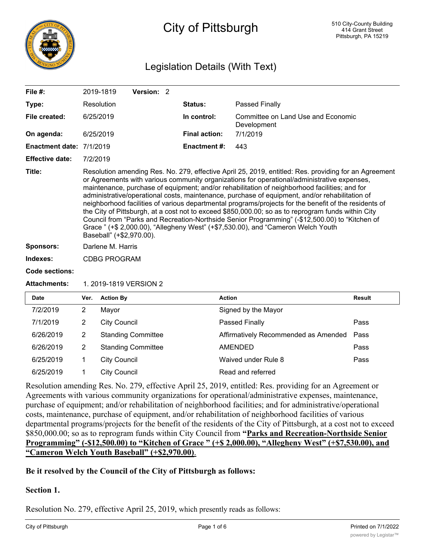

# City of Pittsburgh

## Legislation Details (With Text)

| Data.                    | $M_{\text{max}} = 0.41$                                                                                                                                                                                                                                                                                                                                                                                                                                                                                                                                                                                                                                                                                                                                                                                                                  |            |  | $A - 1 - 1$          | <b>Desile</b>                                     |
|--------------------------|------------------------------------------------------------------------------------------------------------------------------------------------------------------------------------------------------------------------------------------------------------------------------------------------------------------------------------------------------------------------------------------------------------------------------------------------------------------------------------------------------------------------------------------------------------------------------------------------------------------------------------------------------------------------------------------------------------------------------------------------------------------------------------------------------------------------------------------|------------|--|----------------------|---------------------------------------------------|
| <b>Attachments:</b>      | 1. 2019-1819 VERSION 2                                                                                                                                                                                                                                                                                                                                                                                                                                                                                                                                                                                                                                                                                                                                                                                                                   |            |  |                      |                                                   |
| <b>Code sections:</b>    |                                                                                                                                                                                                                                                                                                                                                                                                                                                                                                                                                                                                                                                                                                                                                                                                                                          |            |  |                      |                                                   |
| Indexes:                 | <b>CDBG PROGRAM</b>                                                                                                                                                                                                                                                                                                                                                                                                                                                                                                                                                                                                                                                                                                                                                                                                                      |            |  |                      |                                                   |
| <b>Sponsors:</b>         | Darlene M. Harris                                                                                                                                                                                                                                                                                                                                                                                                                                                                                                                                                                                                                                                                                                                                                                                                                        |            |  |                      |                                                   |
| Title:                   | Resolution amending Res. No. 279, effective April 25, 2019, entitled: Res. providing for an Agreement<br>or Agreements with various community organizations for operational/administrative expenses,<br>maintenance, purchase of equipment; and/or rehabilitation of neighborhood facilities; and for<br>administrative/operational costs, maintenance, purchase of equipment, and/or rehabilitation of<br>neighborhood facilities of various departmental programs/projects for the benefit of the residents of<br>the City of Pittsburgh, at a cost not to exceed \$850,000.00; so as to reprogram funds within City<br>Council from "Parks and Recreation-Northside Senior Programming" (-\$12,500.00) to "Kitchen of<br>Grace " (+\$ 2,000.00), "Allegheny West" (+\$7,530.00), and "Cameron Welch Youth<br>Baseball" (+\$2,970.00). |            |  |                      |                                                   |
| <b>Effective date:</b>   | 7/2/2019                                                                                                                                                                                                                                                                                                                                                                                                                                                                                                                                                                                                                                                                                                                                                                                                                                 |            |  |                      |                                                   |
| Enactment date: 7/1/2019 |                                                                                                                                                                                                                                                                                                                                                                                                                                                                                                                                                                                                                                                                                                                                                                                                                                          |            |  | <b>Enactment #:</b>  | 443                                               |
| On agenda:               | 6/25/2019                                                                                                                                                                                                                                                                                                                                                                                                                                                                                                                                                                                                                                                                                                                                                                                                                                |            |  | <b>Final action:</b> | 7/1/2019                                          |
| File created:            | 6/25/2019                                                                                                                                                                                                                                                                                                                                                                                                                                                                                                                                                                                                                                                                                                                                                                                                                                |            |  | In control:          | Committee on Land Use and Economic<br>Development |
| Type:                    | Resolution                                                                                                                                                                                                                                                                                                                                                                                                                                                                                                                                                                                                                                                                                                                                                                                                                               |            |  | Status:              | Passed Finally                                    |
| File $#$ :               | 2019-1819                                                                                                                                                                                                                                                                                                                                                                                                                                                                                                                                                                                                                                                                                                                                                                                                                                | Version: 2 |  |                      |                                                   |

# **Date Ver. Action By Action Result** 7/2/2019 2 Mayor Signed by the Mayor 7/1/2019 2 City Council Passed Finally Pass 6/26/2019 2 Standing Committee **Affirmatively Recommended as Amended Pass** 6/26/2019 2 Standing Committee AMENDED Pass 6/25/2019 1 City Council Waived under Rule 8 Pass 6/25/2019 1 City Council Read and referred

Resolution amending Res. No. 279, effective April 25, 2019, entitled: Res. providing for an Agreement or Agreements with various community organizations for operational/administrative expenses, maintenance, purchase of equipment; and/or rehabilitation of neighborhood facilities; and for administrative/operational costs, maintenance, purchase of equipment, and/or rehabilitation of neighborhood facilities of various departmental programs/projects for the benefit of the residents of the City of Pittsburgh, at a cost not to exceed \$850,000.00; so as to reprogram funds within City Council from **"Parks and Recreation-Northside Senior Programming" (-\$12,500.00) to "Kitchen of Grace " (+\$ 2,000.00), "Allegheny West" (+\$7,530.00), and "Cameron Welch Youth Baseball" (+\$2,970.00)**.

#### **Be it resolved by the Council of the City of Pittsburgh as follows:**

#### **Section 1.**

Resolution No. 279, effective April 25, 2019, which presently reads as follows: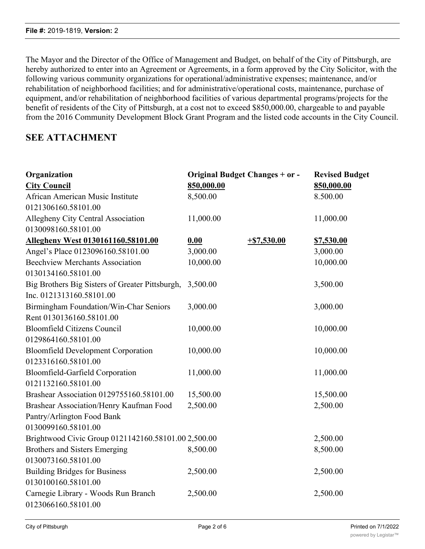The Mayor and the Director of the Office of Management and Budget, on behalf of the City of Pittsburgh, are hereby authorized to enter into an Agreement or Agreements, in a form approved by the City Solicitor, with the following various community organizations for operational/administrative expenses; maintenance, and/or rehabilitation of neighborhood facilities; and for administrative/operational costs, maintenance, purchase of equipment, and/or rehabilitation of neighborhood facilities of various departmental programs/projects for the benefit of residents of the City of Pittsburgh, at a cost not to exceed \$850,000.00, chargeable to and payable from the 2016 Community Development Block Grant Program and the listed code accounts in the City Council.

### **SEE ATTACHMENT**

| Organization<br><b>City Council</b>                 | <b>Original Budget Changes + or -</b><br>850,000.00 |               | <b>Revised Budget</b><br>850,000.00 |
|-----------------------------------------------------|-----------------------------------------------------|---------------|-------------------------------------|
| African American Music Institute                    | 8,500.00                                            |               | 8.500.00                            |
| 0121306160.58101.00                                 |                                                     |               |                                     |
| Allegheny City Central Association                  | 11,000.00                                           |               | 11,000.00                           |
| 0130098160.58101.00                                 |                                                     |               |                                     |
| Allegheny West 0130161160.58101.00                  | 0.00                                                | $+ $7,530.00$ | <u>\$7,530.00</u>                   |
| Angel's Place 0123096160.58101.00                   | 3,000.00                                            |               | 3,000.00                            |
| <b>Beechview Merchants Association</b>              | 10,000.00                                           |               | 10,000.00                           |
| 0130134160.58101.00                                 |                                                     |               |                                     |
| Big Brothers Big Sisters of Greater Pittsburgh,     | 3,500.00                                            |               | 3,500.00                            |
| Inc. 0121313160.58101.00                            |                                                     |               |                                     |
| Birmingham Foundation/Win-Char Seniors              | 3,000.00                                            |               | 3,000.00                            |
| Rent 0130136160.58101.00                            |                                                     |               |                                     |
| <b>Bloomfield Citizens Council</b>                  | 10,000.00                                           |               | 10,000.00                           |
| 0129864160.58101.00                                 |                                                     |               |                                     |
| <b>Bloomfield Development Corporation</b>           | 10,000.00                                           |               | 10,000.00                           |
| 0123316160.58101.00                                 |                                                     |               |                                     |
| <b>Bloomfield-Garfield Corporation</b>              | 11,000.00                                           |               | 11,000.00                           |
| 0121132160.58101.00                                 |                                                     |               |                                     |
| Brashear Association 0129755160.58101.00            | 15,500.00                                           |               | 15,500.00                           |
| Brashear Association/Henry Kaufman Food             | 2,500.00                                            |               | 2,500.00                            |
| Pantry/Arlington Food Bank                          |                                                     |               |                                     |
| 0130099160.58101.00                                 |                                                     |               |                                     |
| Brightwood Civic Group 0121142160.58101.00 2,500.00 |                                                     |               | 2,500.00                            |
| Brothers and Sisters Emerging                       | 8,500.00                                            |               | 8,500.00                            |
| 0130073160.58101.00                                 |                                                     |               |                                     |
| <b>Building Bridges for Business</b>                | 2,500.00                                            |               | 2,500.00                            |
| 0130100160.58101.00                                 |                                                     |               |                                     |
| Carnegie Library - Woods Run Branch                 | 2,500.00                                            |               | 2,500.00                            |
| 0123066160.58101.00                                 |                                                     |               |                                     |

Carrick Community Council

30,000.00 30,000.00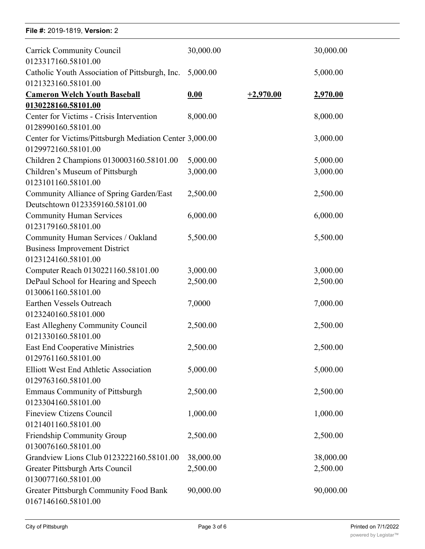| File #: 2019-1819, Version: 2                                                  |           |             |                 |  |  |
|--------------------------------------------------------------------------------|-----------|-------------|-----------------|--|--|
| <b>Carrick Community Council</b><br>0123317160.58101.00                        | 30,000.00 |             | 30,000.00       |  |  |
| Catholic Youth Association of Pittsburgh, Inc.                                 | 5,000.00  |             | 5,000.00        |  |  |
| 0121323160.58101.00                                                            |           |             |                 |  |  |
| <b>Cameron Welch Youth Baseball</b>                                            | 0.00      | $+2,970.00$ | <u>2,970.00</u> |  |  |
| 0130228160.58101.00                                                            |           |             |                 |  |  |
| Center for Victims - Crisis Intervention                                       | 8,000.00  |             | 8,000.00        |  |  |
| 0128990160.58101.00                                                            |           |             |                 |  |  |
| Center for Victims/Pittsburgh Mediation Center 3,000.00<br>0129972160.58101.00 |           |             | 3,000.00        |  |  |
| Children 2 Champions 0130003160.58101.00                                       | 5,000.00  |             | 5,000.00        |  |  |
| Children's Museum of Pittsburgh                                                | 3,000.00  |             | 3,000.00        |  |  |
| 0123101160.58101.00                                                            |           |             |                 |  |  |
| Community Alliance of Spring Garden/East                                       | 2,500.00  |             | 2,500.00        |  |  |
| Deutschtown 0123359160.58101.00                                                |           |             |                 |  |  |
| <b>Community Human Services</b>                                                | 6,000.00  |             | 6,000.00        |  |  |
| 0123179160.58101.00                                                            |           |             |                 |  |  |
| Community Human Services / Oakland                                             | 5,500.00  |             | 5,500.00        |  |  |
| <b>Business Improvement District</b>                                           |           |             |                 |  |  |
| 0123124160.58101.00                                                            |           |             |                 |  |  |
| Computer Reach 0130221160.58101.00                                             | 3,000.00  |             | 3,000.00        |  |  |
| DePaul School for Hearing and Speech                                           | 2,500.00  |             | 2,500.00        |  |  |
| 0130061160.58101.00                                                            |           |             |                 |  |  |
| Earthen Vessels Outreach                                                       | 7,0000    |             | 7,000.00        |  |  |
| 0123240160.58101.000                                                           |           |             |                 |  |  |
| East Allegheny Community Council                                               | 2,500.00  |             | 2,500.00        |  |  |
| 0121330160.58101.00                                                            |           |             |                 |  |  |
| <b>East End Cooperative Ministries</b>                                         | 2,500.00  |             | 2,500.00        |  |  |
| 0129761160.58101.00                                                            |           |             |                 |  |  |
| Elliott West End Athletic Association                                          | 5,000.00  |             | 5,000.00        |  |  |
| 0129763160.58101.00                                                            |           |             |                 |  |  |
| <b>Emmaus Community of Pittsburgh</b>                                          | 2,500.00  |             | 2,500.00        |  |  |
| 0123304160.58101.00                                                            |           |             |                 |  |  |
| <b>Fineview Ctizens Council</b>                                                | 1,000.00  |             | 1,000.00        |  |  |
| 0121401160.58101.00                                                            |           |             |                 |  |  |
| Friendship Community Group                                                     | 2,500.00  |             | 2,500.00        |  |  |
| 0130076160.58101.00                                                            |           |             |                 |  |  |
| Grandview Lions Club 0123222160.58101.00                                       | 38,000.00 |             | 38,000.00       |  |  |
| Greater Pittsburgh Arts Council                                                | 2,500.00  |             | 2,500.00        |  |  |
| 0130077160.58101.00                                                            |           |             |                 |  |  |
| Greater Pittsburgh Community Food Bank<br>0167146160.58101.00                  | 90,000.00 |             | 90,000.00       |  |  |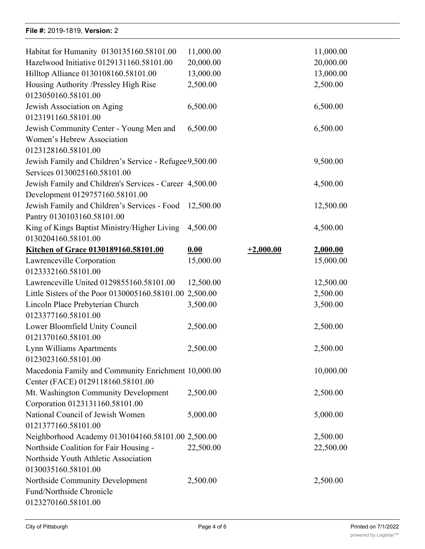#### **File #:** 2019-1819, **Version:** 2

| Habitat for Humanity 0130135160.58101.00                | 11,000.00 |             | 11,000.00 |
|---------------------------------------------------------|-----------|-------------|-----------|
| Hazelwood Initiative 0129131160.58101.00                | 20,000.00 |             | 20,000.00 |
| Hilltop Alliance 0130108160.58101.00                    | 13,000.00 |             | 13,000.00 |
| Housing Authority /Pressley High Rise                   | 2,500.00  |             | 2,500.00  |
| 0123050160.58101.00                                     |           |             |           |
| Jewish Association on Aging                             | 6,500.00  |             | 6,500.00  |
| 0123191160.58101.00                                     |           |             |           |
| Jewish Community Center - Young Men and                 | 6,500.00  |             | 6,500.00  |
| Women's Hebrew Association                              |           |             |           |
| 0123128160.58101.00                                     |           |             |           |
| Jewish Family and Children's Service - Refugee 9,500.00 |           |             | 9,500.00  |
| Services 0130025160.58101.00                            |           |             |           |
| Jewish Family and Children's Services - Career 4,500.00 |           |             | 4,500.00  |
| Development 0129757160.58101.00                         |           |             |           |
| Jewish Family and Children's Services - Food            | 12,500.00 |             | 12,500.00 |
| Pantry 0130103160.58101.00                              |           |             |           |
| King of Kings Baptist Ministry/Higher Living            | 4,500.00  |             | 4,500.00  |
| 0130204160.58101.00                                     |           |             |           |
| Kitchen of Grace 0130189160.58101.00                    | 0.00      | $+2,000.00$ | 2,000.00  |
| Lawrenceville Corporation                               | 15,000.00 |             | 15,000.00 |
| 0123332160.58101.00                                     |           |             |           |
| Lawrenceville United 0129855160.58101.00                | 12,500.00 |             | 12,500.00 |
| Little Sisters of the Poor 0130005160.58101.00 2,500.00 |           |             | 2,500.00  |
| Lincoln Place Prebyterian Church                        | 3,500.00  |             | 3,500.00  |
| 0123377160.58101.00                                     |           |             |           |
| Lower Bloomfield Unity Council                          | 2,500.00  |             | 2,500.00  |
| 0121370160.58101.00                                     |           |             |           |
| Lynn Williams Apartments                                | 2,500.00  |             | 2,500.00  |
| 0123023160.58101.00                                     |           |             |           |
| Macedonia Family and Community Enrichment 10,000.00     |           |             | 10,000.00 |
| Center (FACE) 0129118160.58101.00                       |           |             |           |
| Mt. Washington Community Development                    | 2,500.00  |             | 2,500.00  |
| Corporation 0123131160.58101.00                         |           |             |           |
| National Council of Jewish Women                        | 5,000.00  |             | 5,000.00  |
| 0121377160.58101.00                                     |           |             |           |
| Neighborhood Academy 0130104160.58101.00 2,500.00       |           |             | 2,500.00  |
| Northside Coalition for Fair Housing -                  | 22,500.00 |             | 22,500.00 |
| Northside Youth Athletic Association                    |           |             |           |
| 0130035160.58101.00                                     |           |             |           |
| Northside Community Development                         | 2,500.00  |             | 2,500.00  |
| Fund/Northside Chronicle                                |           |             |           |
| 0123270160.58101.00                                     |           |             |           |
|                                                         |           |             |           |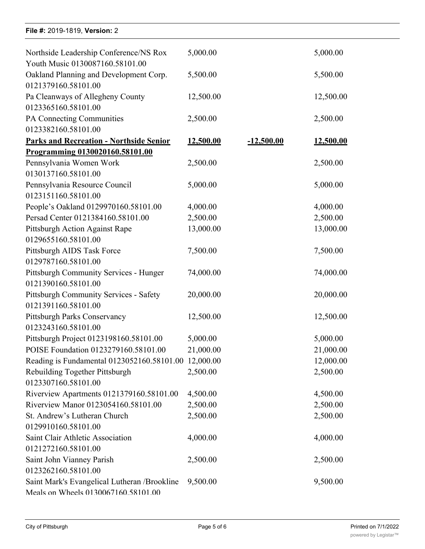#### **File #: 2019-1819, Version: 2**

Northside Community Development

| Northside Leadership Conference/NS Rox         | 5,000.00  |              | 5,000.00  |
|------------------------------------------------|-----------|--------------|-----------|
| Youth Music 0130087160.58101.00                |           |              |           |
| Oakland Planning and Development Corp.         | 5,500.00  |              | 5,500.00  |
| 0121379160.58101.00                            |           |              |           |
| Pa Cleanways of Allegheny County               | 12,500.00 |              | 12,500.00 |
| 0123365160.58101.00                            |           |              |           |
| PA Connecting Communities                      | 2,500.00  |              | 2,500.00  |
| 0123382160.58101.00                            |           |              |           |
| <b>Parks and Recreation - Northside Senior</b> | 12,500.00 | $-12,500.00$ | 12,500.00 |
| Programming 0130020160.58101.00                |           |              |           |
| Pennsylvania Women Work                        | 2,500.00  |              | 2,500.00  |
| 0130137160.58101.00                            |           |              |           |
| Pennsylvania Resource Council                  | 5,000.00  |              | 5,000.00  |
| 0123151160.58101.00                            |           |              |           |
| People's Oakland 0129970160.58101.00           | 4,000.00  |              | 4,000.00  |
| Persad Center 0121384160.58101.00              | 2,500.00  |              | 2,500.00  |
| Pittsburgh Action Against Rape                 | 13,000.00 |              | 13,000.00 |
| 0129655160.58101.00                            |           |              |           |
| Pittsburgh AIDS Task Force                     | 7,500.00  |              | 7,500.00  |
| 0129787160.58101.00                            |           |              |           |
| Pittsburgh Community Services - Hunger         | 74,000.00 |              | 74,000.00 |
| 0121390160.58101.00                            |           |              |           |
| <b>Pittsburgh Community Services - Safety</b>  | 20,000.00 |              | 20,000.00 |
| 0121391160.58101.00                            |           |              |           |
| <b>Pittsburgh Parks Conservancy</b>            | 12,500.00 |              | 12,500.00 |
| 0123243160.58101.00                            |           |              |           |
| Pittsburgh Project 0123198160.58101.00         | 5,000.00  |              | 5,000.00  |
| POISE Foundation 0123279160.58101.00           | 21,000.00 |              | 21,000.00 |
| Reading is Fundamental 0123052160.58101.00     | 12,000.00 |              | 12,000.00 |
| Rebuilding Together Pittsburgh                 | 2,500.00  |              | 2,500.00  |
| 0123307160.58101.00                            |           |              |           |
| Riverview Apartments 0121379160.58101.00       | 4,500.00  |              | 4,500.00  |
| Riverview Manor 0123054160.58101.00            | 2,500.00  |              | 2,500.00  |
| St. Andrew's Lutheran Church                   | 2,500.00  |              | 2,500.00  |
| 0129910160.58101.00                            |           |              |           |
| Saint Clair Athletic Association               | 4,000.00  |              | 4,000.00  |
| 0121272160.58101.00                            |           |              |           |
| Saint John Vianney Parish                      | 2,500.00  |              | 2,500.00  |
| 0123262160.58101.00                            |           |              |           |
| Saint Mark's Evangelical Lutheran /Brookline   | 9,500.00  |              | 9,500.00  |
| Meals on Wheels 0130067160.58101.00            |           |              |           |

2,500.000 2,500.000 2,500.000 2,500.000 2,500.000 2,500.000 2,500.000 2,500.000 2,500.000 2,500.000 2,500.000